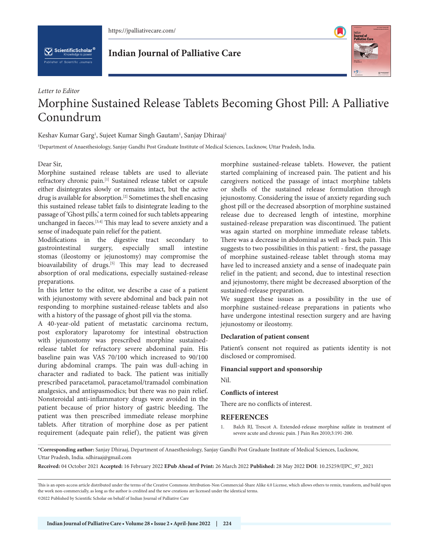

 $\left[\sum_{k}\right]$  ScientificScholar  $^\circ$ 

**Indian Journal of Palliative Care**



# *Letter to Editor* Morphine Sustained Release Tablets Becoming Ghost Pill: A Palliative Conundrum

Keshav Kumar Garg<sup>ı</sup>, Sujeet Kumar Singh Gautam<sup>ı</sup>, Sanjay Dhiraaj<sup>ı</sup>

1 Department of Anaesthesiology, Sanjay Gandhi Post Graduate Institute of Medical Sciences, Lucknow, Uttar Pradesh, India.

#### Dear Sir,

Morphine sustained release tablets are used to alleviate refractory chronic pain.[1] Sustained release tablet or capsule either disintegrates slowly or remains intact, but the active drug is available for absorption.[2] Sometimes the shell encasing this sustained release tablet fails to disintegrate leading to the passage of 'Ghost pills,' a term coined for such tablets appearing unchanged in faeces.<sup>[3,4]</sup> This may lead to severe anxiety and a sense of inadequate pain relief for the patient.

Modifications in the digestive tract secondary to gastrointestinal surgery, especially small intestine stomas (ileostomy or jejunostomy) may compromise the bioavailability of drugs.<sup>[5]</sup> This may lead to decreased absorption of oral medications, especially sustained-release preparations.

In this letter to the editor, we describe a case of a patient with jejunostomy with severe abdominal and back pain not responding to morphine sustained-release tablets and also with a history of the passage of ghost pill via the stoma.

A 40-year-old patient of metastatic carcinoma rectum, post exploratory laparotomy for intestinal obstruction with jejunostomy was prescribed morphine sustainedrelease tablet for refractory severe abdominal pain. His baseline pain was VAS 70/100 which increased to 90/100 during abdominal cramps. The pain was dull-aching in character and radiated to back. The patient was initially prescribed paracetamol, paracetamol/tramadol combination analgesics, and antispasmodics; but there was no pain relief. Nonsteroidal anti-inflammatory drugs were avoided in the patient because of prior history of gastric bleeding. The patient was then prescribed immediate release morphine tablets. After titration of morphine dose as per patient requirement (adequate pain relief), the patient was given

morphine sustained-release tablets. However, the patient started complaining of increased pain. The patient and his caregivers noticed the passage of intact morphine tablets or shells of the sustained release formulation through jejunostomy. Considering the issue of anxiety regarding such ghost pill or the decreased absorption of morphine sustained release due to decreased length of intestine, morphine sustained-release preparation was discontinued. The patient was again started on morphine immediate release tablets. There was a decrease in abdominal as well as back pain. This suggests to two possibilities in this patient: - first, the passage of morphine sustained-release tablet through stoma may have led to increased anxiety and a sense of inadequate pain relief in the patient; and second, due to intestinal resection and jejunostomy, there might be decreased absorption of the sustained-release preparation.

We suggest these issues as a possibility in the use of morphine sustained-release preparations in patients who have undergone intestinal resection surgery and are having jejunostomy or ileostomy.

### **Declaration of patient consent**

Patient's consent not required as patients identity is not disclosed or compromised.

# **Financial support and sponsorship**

Nil.

## **Conflicts of interest**

There are no conflicts of interest.

#### **REFERENCES**

1. Balch RJ, Trescot A. Extended-release morphine sulfate in treatment of severe acute and chronic pain. J Pain Res 2010;3:191-200.

**\*Corresponding author:** Sanjay Dhiraaj, Department of Anaesthesiology, Sanjay Gandhi Post Graduate Institute of Medical Sciences, Lucknow, Uttar Pradesh, India. sdhiraaj@gmail.com

**Received:** 04 October 2021 **Accepted:** 16 February 2022 **EPub Ahead of Print:** 26 March 2022 **Published:** 28 May 2022 **DOI**: [10.25259/IJPC\\_97\\_2021](https://dx.doi.org/10.25259/IJPC_97_2021)

This is an open-access article distributed under the terms of the Creative Commons Attribution-Non Commercial-Share Alike 4.0 License, which allows others to remix, transform, and build upon the work non-commercially, as long as the author is credited and the new creations are licensed under the identical terms.

<sup>©2022</sup> Published by Scientific Scholar on behalf of Indian Journal of Palliative Care